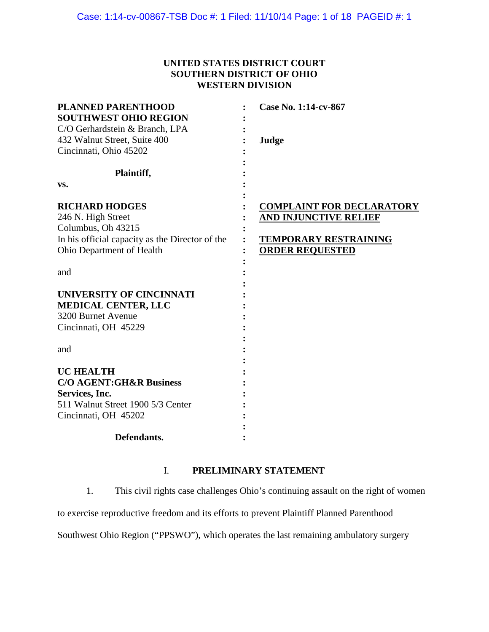# **UNITED STATES DISTRICT COURT SOUTHERN DISTRICT OF OHIO WESTERN DIVISION**

| <b>PLANNED PARENTHOOD</b>                       | Case No. 1:14-cv-867             |
|-------------------------------------------------|----------------------------------|
| <b>SOUTHWEST OHIO REGION</b>                    |                                  |
| C/O Gerhardstein & Branch, LPA                  |                                  |
| 432 Walnut Street, Suite 400                    | Judge                            |
| Cincinnati, Ohio 45202                          |                                  |
| Plaintiff,                                      |                                  |
| VS.                                             |                                  |
| <b>RICHARD HODGES</b>                           | <b>COMPLAINT FOR DECLARATORY</b> |
| 246 N. High Street                              | <b>AND INJUNCTIVE RELIEF</b>     |
| Columbus, Oh 43215                              |                                  |
| In his official capacity as the Director of the | <b>TEMPORARY RESTRAINING</b>     |
| Ohio Department of Health                       | <b>ORDER REQUESTED</b>           |
| and                                             |                                  |
| <b>UNIVERSITY OF CINCINNATI</b>                 |                                  |
| <b>MEDICAL CENTER, LLC</b>                      |                                  |
| 3200 Burnet Avenue                              |                                  |
| Cincinnati, OH 45229                            |                                  |
|                                                 |                                  |
| and                                             |                                  |
|                                                 |                                  |
| <b>UC HEALTH</b>                                |                                  |
| <b>C/O AGENT:GH&amp;R Business</b>              |                                  |
| Services, Inc.                                  |                                  |
| 511 Walnut Street 1900 5/3 Center               |                                  |
| Cincinnati, OH 45202                            |                                  |
|                                                 |                                  |
| Defendants.                                     |                                  |

# I. **PRELIMINARY STATEMENT**

1. This civil rights case challenges Ohio's continuing assault on the right of women

to exercise reproductive freedom and its efforts to prevent Plaintiff Planned Parenthood

Southwest Ohio Region ("PPSWO"), which operates the last remaining ambulatory surgery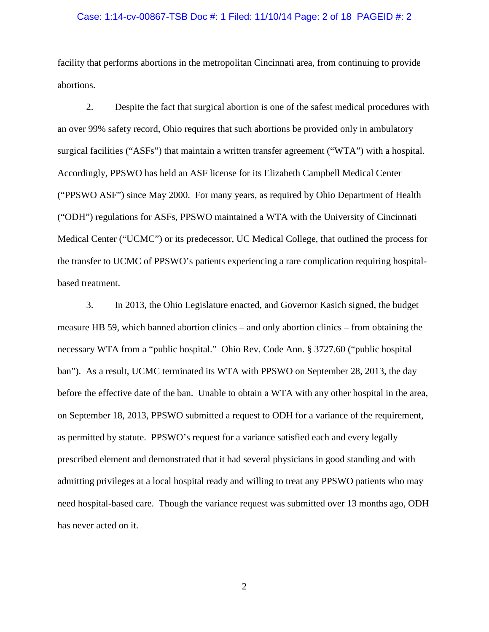#### Case: 1:14-cv-00867-TSB Doc #: 1 Filed: 11/10/14 Page: 2 of 18 PAGEID #: 2

facility that performs abortions in the metropolitan Cincinnati area, from continuing to provide abortions.

2. Despite the fact that surgical abortion is one of the safest medical procedures with an over 99% safety record, Ohio requires that such abortions be provided only in ambulatory surgical facilities ("ASFs") that maintain a written transfer agreement ("WTA") with a hospital. Accordingly, PPSWO has held an ASF license for its Elizabeth Campbell Medical Center ("PPSWO ASF") since May 2000. For many years, as required by Ohio Department of Health ("ODH") regulations for ASFs, PPSWO maintained a WTA with the University of Cincinnati Medical Center ("UCMC") or its predecessor, UC Medical College, that outlined the process for the transfer to UCMC of PPSWO's patients experiencing a rare complication requiring hospitalbased treatment.

3. In 2013, the Ohio Legislature enacted, and Governor Kasich signed, the budget measure HB 59, which banned abortion clinics – and only abortion clinics – from obtaining the necessary WTA from a "public hospital." Ohio Rev. Code Ann. § 3727.60 ("public hospital ban"). As a result, UCMC terminated its WTA with PPSWO on September 28, 2013, the day before the effective date of the ban. Unable to obtain a WTA with any other hospital in the area, on September 18, 2013, PPSWO submitted a request to ODH for a variance of the requirement, as permitted by statute. PPSWO's request for a variance satisfied each and every legally prescribed element and demonstrated that it had several physicians in good standing and with admitting privileges at a local hospital ready and willing to treat any PPSWO patients who may need hospital-based care. Though the variance request was submitted over 13 months ago, ODH has never acted on it.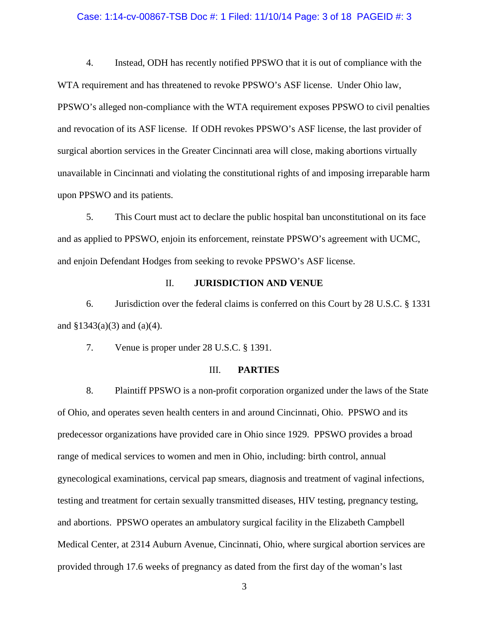#### Case: 1:14-cv-00867-TSB Doc #: 1 Filed: 11/10/14 Page: 3 of 18 PAGEID #: 3

4. Instead, ODH has recently notified PPSWO that it is out of compliance with the WTA requirement and has threatened to revoke PPSWO's ASF license. Under Ohio law, PPSWO's alleged non-compliance with the WTA requirement exposes PPSWO to civil penalties and revocation of its ASF license. If ODH revokes PPSWO's ASF license, the last provider of surgical abortion services in the Greater Cincinnati area will close, making abortions virtually unavailable in Cincinnati and violating the constitutional rights of and imposing irreparable harm upon PPSWO and its patients.

5. This Court must act to declare the public hospital ban unconstitutional on its face and as applied to PPSWO, enjoin its enforcement, reinstate PPSWO's agreement with UCMC, and enjoin Defendant Hodges from seeking to revoke PPSWO's ASF license.

### II. **JURISDICTION AND VENUE**

6. Jurisdiction over the federal claims is conferred on this Court by 28 U.S.C. § 1331 and  $$1343(a)(3)$  and  $(a)(4)$ .

7. Venue is proper under 28 U.S.C. § 1391.

## III. **PARTIES**

8. Plaintiff PPSWO is a non-profit corporation organized under the laws of the State of Ohio, and operates seven health centers in and around Cincinnati, Ohio. PPSWO and its predecessor organizations have provided care in Ohio since 1929. PPSWO provides a broad range of medical services to women and men in Ohio, including: birth control, annual gynecological examinations, cervical pap smears, diagnosis and treatment of vaginal infections, testing and treatment for certain sexually transmitted diseases, HIV testing, pregnancy testing, and abortions. PPSWO operates an ambulatory surgical facility in the Elizabeth Campbell Medical Center, at 2314 Auburn Avenue, Cincinnati, Ohio, where surgical abortion services are provided through 17.6 weeks of pregnancy as dated from the first day of the woman's last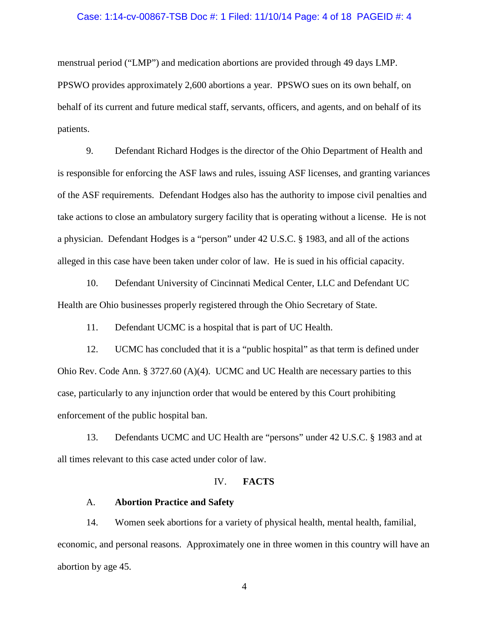### Case: 1:14-cv-00867-TSB Doc #: 1 Filed: 11/10/14 Page: 4 of 18 PAGEID #: 4

menstrual period ("LMP") and medication abortions are provided through 49 days LMP. PPSWO provides approximately 2,600 abortions a year. PPSWO sues on its own behalf, on behalf of its current and future medical staff, servants, officers, and agents, and on behalf of its patients.

9. Defendant Richard Hodges is the director of the Ohio Department of Health and is responsible for enforcing the ASF laws and rules, issuing ASF licenses, and granting variances of the ASF requirements. Defendant Hodges also has the authority to impose civil penalties and take actions to close an ambulatory surgery facility that is operating without a license. He is not a physician. Defendant Hodges is a "person" under 42 U.S.C. § 1983, and all of the actions alleged in this case have been taken under color of law. He is sued in his official capacity.

10. Defendant University of Cincinnati Medical Center, LLC and Defendant UC Health are Ohio businesses properly registered through the Ohio Secretary of State.

11. Defendant UCMC is a hospital that is part of UC Health.

12. UCMC has concluded that it is a "public hospital" as that term is defined under Ohio Rev. Code Ann. § 3727.60 (A)(4). UCMC and UC Health are necessary parties to this case, particularly to any injunction order that would be entered by this Court prohibiting enforcement of the public hospital ban.

13. Defendants UCMC and UC Health are "persons" under 42 U.S.C. § 1983 and at all times relevant to this case acted under color of law.

## IV. **FACTS**

## A. **Abortion Practice and Safety**

14. Women seek abortions for a variety of physical health, mental health, familial, economic, and personal reasons. Approximately one in three women in this country will have an abortion by age 45.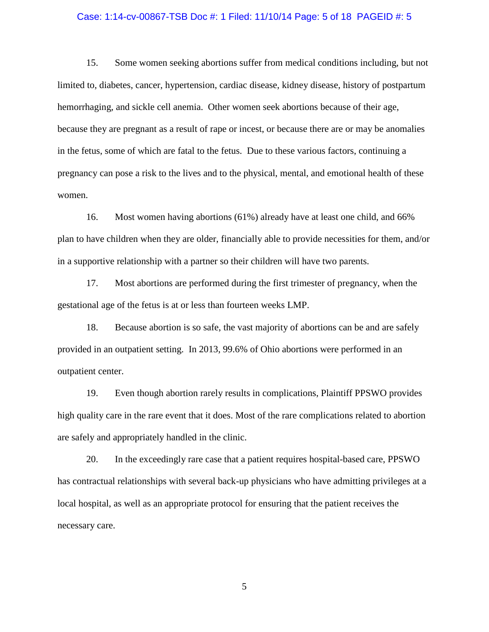### Case: 1:14-cv-00867-TSB Doc #: 1 Filed: 11/10/14 Page: 5 of 18 PAGEID #: 5

15. Some women seeking abortions suffer from medical conditions including, but not limited to, diabetes, cancer, hypertension, cardiac disease, kidney disease, history of postpartum hemorrhaging, and sickle cell anemia. Other women seek abortions because of their age, because they are pregnant as a result of rape or incest, or because there are or may be anomalies in the fetus, some of which are fatal to the fetus. Due to these various factors, continuing a pregnancy can pose a risk to the lives and to the physical, mental, and emotional health of these women.

16. Most women having abortions (61%) already have at least one child, and 66% plan to have children when they are older, financially able to provide necessities for them, and/or in a supportive relationship with a partner so their children will have two parents.

17. Most abortions are performed during the first trimester of pregnancy, when the gestational age of the fetus is at or less than fourteen weeks LMP.

18. Because abortion is so safe, the vast majority of abortions can be and are safely provided in an outpatient setting. In 2013, 99.6% of Ohio abortions were performed in an outpatient center.

19. Even though abortion rarely results in complications, Plaintiff PPSWO provides high quality care in the rare event that it does. Most of the rare complications related to abortion are safely and appropriately handled in the clinic.

20. In the exceedingly rare case that a patient requires hospital-based care, PPSWO has contractual relationships with several back-up physicians who have admitting privileges at a local hospital, as well as an appropriate protocol for ensuring that the patient receives the necessary care.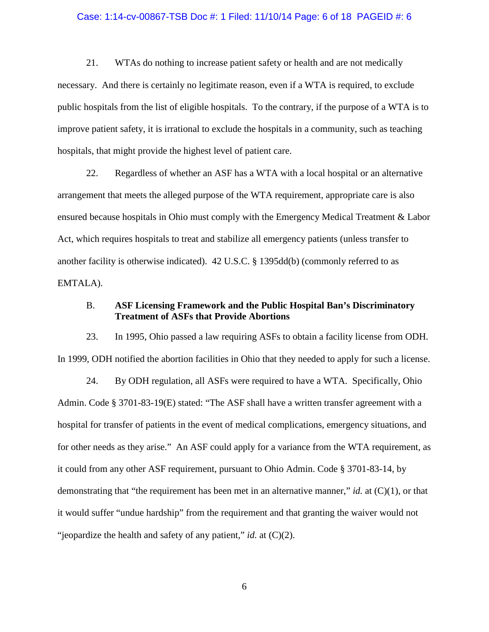### Case: 1:14-cv-00867-TSB Doc #: 1 Filed: 11/10/14 Page: 6 of 18 PAGEID #: 6

21. WTAs do nothing to increase patient safety or health and are not medically necessary. And there is certainly no legitimate reason, even if a WTA is required, to exclude public hospitals from the list of eligible hospitals. To the contrary, if the purpose of a WTA is to improve patient safety, it is irrational to exclude the hospitals in a community, such as teaching hospitals, that might provide the highest level of patient care.

22. Regardless of whether an ASF has a WTA with a local hospital or an alternative arrangement that meets the alleged purpose of the WTA requirement, appropriate care is also ensured because hospitals in Ohio must comply with the Emergency Medical Treatment & Labor Act, which requires hospitals to treat and stabilize all emergency patients (unless transfer to another facility is otherwise indicated). 42 U.S.C. § 1395dd(b) (commonly referred to as EMTALA).

## B. **ASF Licensing Framework and the Public Hospital Ban's Discriminatory Treatment of ASFs that Provide Abortions**

23. In 1995, Ohio passed a law requiring ASFs to obtain a facility license from ODH. In 1999, ODH notified the abortion facilities in Ohio that they needed to apply for such a license.

24. By ODH regulation, all ASFs were required to have a WTA. Specifically, Ohio Admin. Code § 3701-83-19(E) stated: "The ASF shall have a written transfer agreement with a hospital for transfer of patients in the event of medical complications, emergency situations, and for other needs as they arise." An ASF could apply for a variance from the WTA requirement, as it could from any other ASF requirement, pursuant to Ohio Admin. Code § 3701-83-14, by demonstrating that "the requirement has been met in an alternative manner," *id.* at (C)(1), or that it would suffer "undue hardship" from the requirement and that granting the waiver would not "jeopardize the health and safety of any patient," *id.* at (C)(2).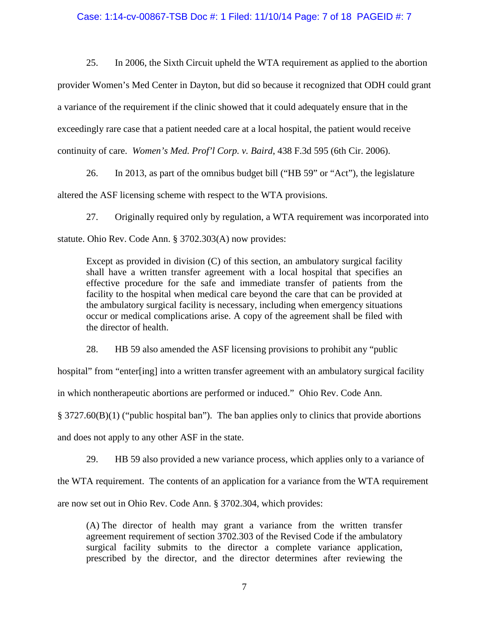### Case: 1:14-cv-00867-TSB Doc #: 1 Filed: 11/10/14 Page: 7 of 18 PAGEID #: 7

25. In 2006, the Sixth Circuit upheld the WTA requirement as applied to the abortion

provider Women's Med Center in Dayton, but did so because it recognized that ODH could grant a variance of the requirement if the clinic showed that it could adequately ensure that in the exceedingly rare case that a patient needed care at a local hospital, the patient would receive continuity of care. *Women's Med. Prof'l Corp. v. Baird*, 438 F.3d 595 (6th Cir. 2006).

26. In 2013, as part of the omnibus budget bill ("HB 59" or "Act"), the legislature altered the ASF licensing scheme with respect to the WTA provisions.

27. Originally required only by regulation, a WTA requirement was incorporated into statute. Ohio Rev. Code Ann. § 3702.303(A) now provides:

Except as provided in division (C) of this section, an ambulatory surgical facility shall have a written transfer agreement with a local hospital that specifies an effective procedure for the safe and immediate transfer of patients from the facility to the hospital when medical care beyond the care that can be provided at the ambulatory surgical facility is necessary, including when emergency situations occur or medical complications arise. A copy of the agreement shall be filed with the director of health.

28. HB 59 also amended the ASF licensing provisions to prohibit any "public

hospital" from "enter[ing] into a written transfer agreement with an ambulatory surgical facility

in which nontherapeutic abortions are performed or induced." Ohio Rev. Code Ann.

§ 3727.60(B)(1) ("public hospital ban"). The ban applies only to clinics that provide abortions

and does not apply to any other ASF in the state.

29. HB 59 also provided a new variance process, which applies only to a variance of

the WTA requirement. The contents of an application for a variance from the WTA requirement

are now set out in Ohio Rev. Code Ann. § 3702.304, which provides:

(A) The director of health may grant a variance from the written transfer agreement requirement of section 3702.303 of the Revised Code if the ambulatory surgical facility submits to the director a complete variance application, prescribed by the director, and the director determines after reviewing the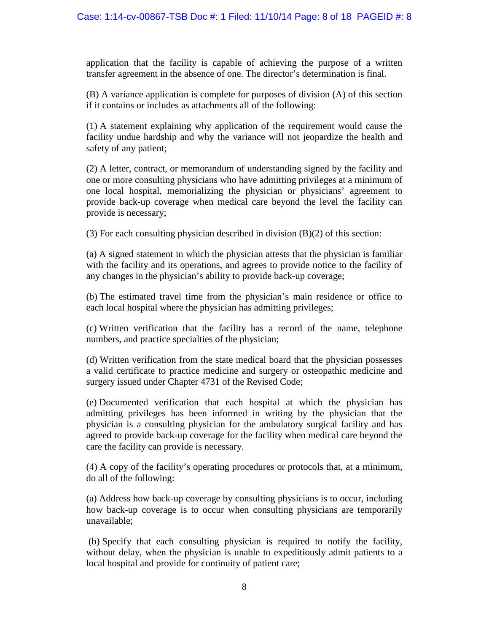## Case: 1:14-cv-00867-TSB Doc #: 1 Filed: 11/10/14 Page: 8 of 18 PAGEID #: 8

application that the facility is capable of achieving the purpose of a written transfer agreement in the absence of one. The director's determination is final.

(B) A variance application is complete for purposes of division (A) of this section if it contains or includes as attachments all of the following:

(1) A statement explaining why application of the requirement would cause the facility undue hardship and why the variance will not jeopardize the health and safety of any patient;

(2) A letter, contract, or memorandum of understanding signed by the facility and one or more consulting physicians who have admitting privileges at a minimum of one local hospital, memorializing the physician or physicians' agreement to provide back-up coverage when medical care beyond the level the facility can provide is necessary;

(3) For each consulting physician described in division (B)(2) of this section:

(a) A signed statement in which the physician attests that the physician is familiar with the facility and its operations, and agrees to provide notice to the facility of any changes in the physician's ability to provide back-up coverage;

(b) The estimated travel time from the physician's main residence or office to each local hospital where the physician has admitting privileges;

(c) Written verification that the facility has a record of the name, telephone numbers, and practice specialties of the physician;

(d) Written verification from the state medical board that the physician possesses a valid certificate to practice medicine and surgery or osteopathic medicine and surgery issued under Chapter 4731 of the Revised Code;

(e) Documented verification that each hospital at which the physician has admitting privileges has been informed in writing by the physician that the physician is a consulting physician for the ambulatory surgical facility and has agreed to provide back-up coverage for the facility when medical care beyond the care the facility can provide is necessary.

(4) A copy of the facility's operating procedures or protocols that, at a minimum, do all of the following:

(a) Address how back-up coverage by consulting physicians is to occur, including how back-up coverage is to occur when consulting physicians are temporarily unavailable;

(b) Specify that each consulting physician is required to notify the facility, without delay, when the physician is unable to expeditiously admit patients to a local hospital and provide for continuity of patient care;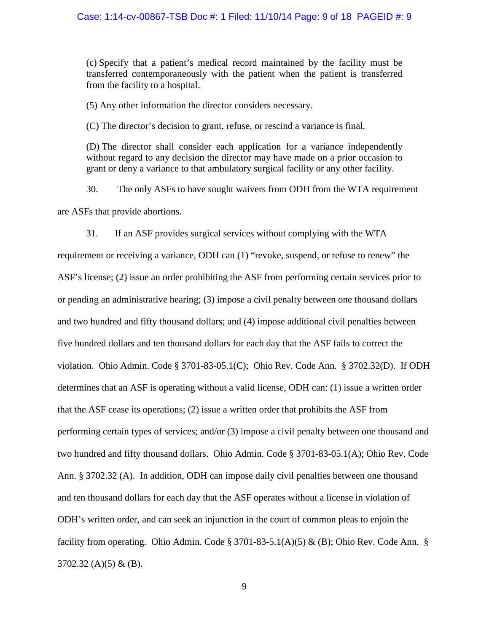### Case: 1:14-cv-00867-TSB Doc #: 1 Filed: 11/10/14 Page: 9 of 18 PAGEID #: 9

(c) Specify that a patient's medical record maintained by the facility must be transferred contemporaneously with the patient when the patient is transferred from the facility to a hospital.

(5) Any other information the director considers necessary.

(C) The director's decision to grant, refuse, or rescind a variance is final.

(D) The director shall consider each application for a variance independently without regard to any decision the director may have made on a prior occasion to grant or deny a variance to that ambulatory surgical facility or any other facility.

30. The only ASFs to have sought waivers from ODH from the WTA requirement are ASFs that provide abortions.

31. If an ASF provides surgical services without complying with the WTA requirement or receiving a variance, ODH can (1) "revoke, suspend, or refuse to renew" the ASF's license; (2) issue an order prohibiting the ASF from performing certain services prior to or pending an administrative hearing; (3) impose a civil penalty between one thousand dollars and two hundred and fifty thousand dollars; and (4) impose additional civil penalties between five hundred dollars and ten thousand dollars for each day that the ASF fails to correct the violation. Ohio Admin. Code § 3701-83-05.1(C); Ohio Rev. Code Ann. § 3702.32(D). If ODH determines that an ASF is operating without a valid license, ODH can: (1) issue a written order that the ASF cease its operations; (2) issue a written order that prohibits the ASF from performing certain types of services; and/or (3) impose a civil penalty between one thousand and two hundred and fifty thousand dollars. Ohio Admin. Code § 3701-83-05.1(A); Ohio Rev. Code Ann. § 3702.32 (A). In addition, ODH can impose daily civil penalties between one thousand and ten thousand dollars for each day that the ASF operates without a license in violation of ODH's written order, and can seek an injunction in the court of common pleas to enjoin the facility from operating. Ohio Admin. Code § 3701-83-5.1(A)(5) & (B); Ohio Rev. Code Ann. §  $3702.32$  (A)(5) & (B).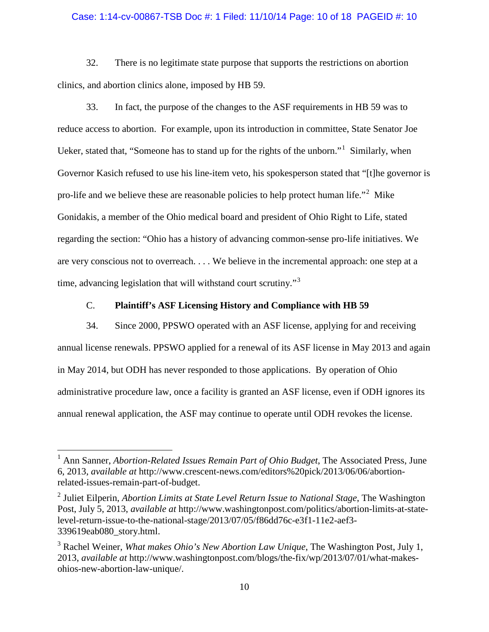### Case: 1:14-cv-00867-TSB Doc #: 1 Filed: 11/10/14 Page: 10 of 18 PAGEID #: 10

32. There is no legitimate state purpose that supports the restrictions on abortion clinics, and abortion clinics alone, imposed by HB 59.

33. In fact, the purpose of the changes to the ASF requirements in HB 59 was to reduce access to abortion. For example, upon its introduction in committee, State Senator Joe Ueker, stated that, "Someone has to stand up for the rights of the unborn."[1](#page-9-0) Similarly, when Governor Kasich refused to use his line-item veto, his spokesperson stated that "[t]he governor is pro-life and we believe these are reasonable policies to help protect human life."[2](#page-9-1) Mike Gonidakis, a member of the Ohio medical board and president of Ohio Right to Life, stated regarding the section: "Ohio has a history of advancing common-sense pro-life initiatives. We are very conscious not to overreach. . . . We believe in the incremental approach: one step at a time, advancing legislation that will withstand court scrutiny."<sup>[3](#page-9-2)</sup>

## C. **Plaintiff's ASF Licensing History and Compliance with HB 59**

34. Since 2000, PPSWO operated with an ASF license, applying for and receiving annual license renewals. PPSWO applied for a renewal of its ASF license in May 2013 and again in May 2014, but ODH has never responded to those applications. By operation of Ohio administrative procedure law, once a facility is granted an ASF license, even if ODH ignores its annual renewal application, the ASF may continue to operate until ODH revokes the license.

 $\overline{a}$ 

<span id="page-9-0"></span><sup>&</sup>lt;sup>1</sup> Ann Sanner, *Abortion-Related Issues Remain Part of Ohio Budget*, The Associated Press, June 6, 2013, *available at* http://www.crescent-news.com/editors%20pick/2013/06/06/abortionrelated-issues-remain-part-of-budget.

<span id="page-9-1"></span><sup>2</sup> Juliet Eilperin, *Abortion Limits at State Level Return Issue to National Stage*, The Washington Post, July 5, 2013, *available at* http://www.washingtonpost.com/politics/abortion-limits-at-statelevel-return-issue-to-the-national-stage/2013/07/05/f86dd76c-e3f1-11e2-aef3- 339619eab080\_story.html.

<span id="page-9-2"></span><sup>3</sup> Rachel Weiner, *What makes Ohio's New Abortion Law Unique*, The Washington Post, July 1, 2013, *available at* http://www.washingtonpost.com/blogs/the-fix/wp/2013/07/01/what-makesohios-new-abortion-law-unique/.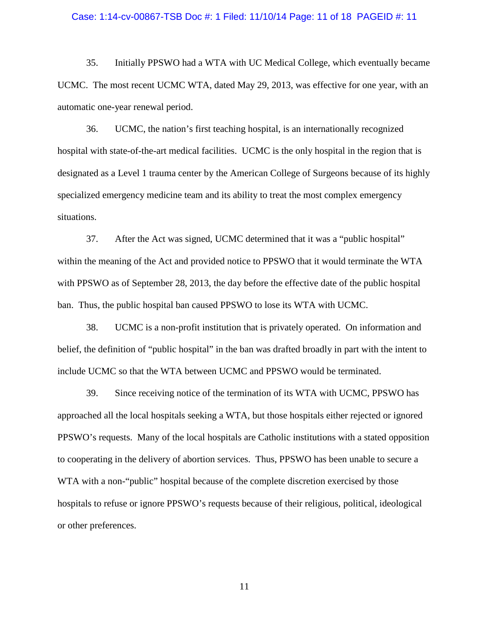#### Case: 1:14-cv-00867-TSB Doc #: 1 Filed: 11/10/14 Page: 11 of 18 PAGEID #: 11

35. Initially PPSWO had a WTA with UC Medical College, which eventually became UCMC. The most recent UCMC WTA, dated May 29, 2013, was effective for one year, with an automatic one-year renewal period.

36. UCMC, the nation's first teaching hospital, is an internationally recognized hospital with state-of-the-art medical facilities. UCMC is the only hospital in the region that is designated as a Level 1 trauma center by the American College of Surgeons because of its highly specialized emergency medicine team and its ability to treat the most complex emergency situations.

37. After the Act was signed, UCMC determined that it was a "public hospital" within the meaning of the Act and provided notice to PPSWO that it would terminate the WTA with PPSWO as of September 28, 2013, the day before the effective date of the public hospital ban. Thus, the public hospital ban caused PPSWO to lose its WTA with UCMC.

38. UCMC is a non-profit institution that is privately operated. On information and belief, the definition of "public hospital" in the ban was drafted broadly in part with the intent to include UCMC so that the WTA between UCMC and PPSWO would be terminated.

39. Since receiving notice of the termination of its WTA with UCMC, PPSWO has approached all the local hospitals seeking a WTA, but those hospitals either rejected or ignored PPSWO's requests. Many of the local hospitals are Catholic institutions with a stated opposition to cooperating in the delivery of abortion services. Thus, PPSWO has been unable to secure a WTA with a non-"public" hospital because of the complete discretion exercised by those hospitals to refuse or ignore PPSWO's requests because of their religious, political, ideological or other preferences.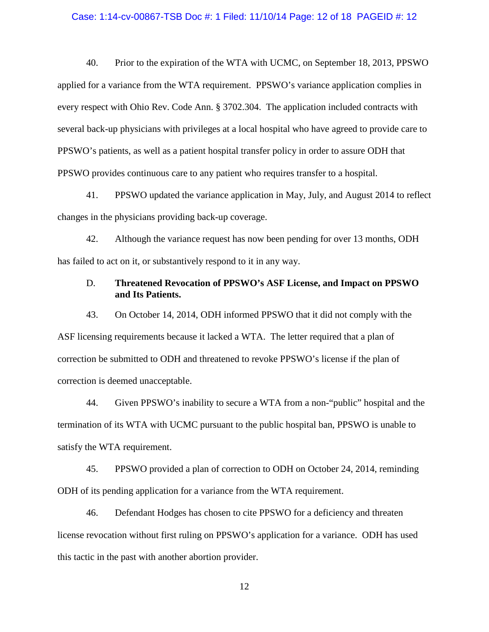#### Case: 1:14-cv-00867-TSB Doc #: 1 Filed: 11/10/14 Page: 12 of 18 PAGEID #: 12

40. Prior to the expiration of the WTA with UCMC, on September 18, 2013, PPSWO applied for a variance from the WTA requirement. PPSWO's variance application complies in every respect with Ohio Rev. Code Ann. § 3702.304. The application included contracts with several back-up physicians with privileges at a local hospital who have agreed to provide care to PPSWO's patients, as well as a patient hospital transfer policy in order to assure ODH that PPSWO provides continuous care to any patient who requires transfer to a hospital.

41. PPSWO updated the variance application in May, July, and August 2014 to reflect changes in the physicians providing back-up coverage.

42. Although the variance request has now been pending for over 13 months, ODH has failed to act on it, or substantively respond to it in any way.

## D. **Threatened Revocation of PPSWO's ASF License, and Impact on PPSWO and Its Patients.**

43. On October 14, 2014, ODH informed PPSWO that it did not comply with the ASF licensing requirements because it lacked a WTA. The letter required that a plan of correction be submitted to ODH and threatened to revoke PPSWO's license if the plan of correction is deemed unacceptable.

44. Given PPSWO's inability to secure a WTA from a non-"public" hospital and the termination of its WTA with UCMC pursuant to the public hospital ban, PPSWO is unable to satisfy the WTA requirement.

45. PPSWO provided a plan of correction to ODH on October 24, 2014, reminding ODH of its pending application for a variance from the WTA requirement.

46. Defendant Hodges has chosen to cite PPSWO for a deficiency and threaten license revocation without first ruling on PPSWO's application for a variance. ODH has used this tactic in the past with another abortion provider.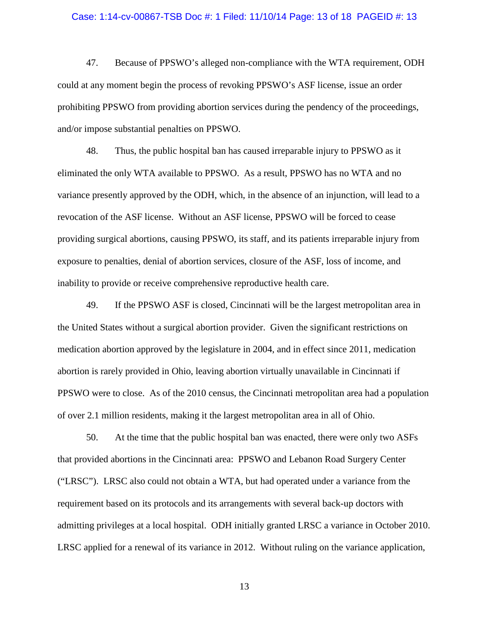#### Case: 1:14-cv-00867-TSB Doc #: 1 Filed: 11/10/14 Page: 13 of 18 PAGEID #: 13

47. Because of PPSWO's alleged non-compliance with the WTA requirement, ODH could at any moment begin the process of revoking PPSWO's ASF license, issue an order prohibiting PPSWO from providing abortion services during the pendency of the proceedings, and/or impose substantial penalties on PPSWO.

48. Thus, the public hospital ban has caused irreparable injury to PPSWO as it eliminated the only WTA available to PPSWO. As a result, PPSWO has no WTA and no variance presently approved by the ODH, which, in the absence of an injunction, will lead to a revocation of the ASF license. Without an ASF license, PPSWO will be forced to cease providing surgical abortions, causing PPSWO, its staff, and its patients irreparable injury from exposure to penalties, denial of abortion services, closure of the ASF, loss of income, and inability to provide or receive comprehensive reproductive health care.

49. If the PPSWO ASF is closed, Cincinnati will be the largest metropolitan area in the United States without a surgical abortion provider. Given the significant restrictions on medication abortion approved by the legislature in 2004, and in effect since 2011, medication abortion is rarely provided in Ohio, leaving abortion virtually unavailable in Cincinnati if PPSWO were to close. As of the 2010 census, the Cincinnati metropolitan area had a population of over 2.1 million residents, making it the largest metropolitan area in all of Ohio.

50. At the time that the public hospital ban was enacted, there were only two ASFs that provided abortions in the Cincinnati area: PPSWO and Lebanon Road Surgery Center ("LRSC"). LRSC also could not obtain a WTA, but had operated under a variance from the requirement based on its protocols and its arrangements with several back-up doctors with admitting privileges at a local hospital. ODH initially granted LRSC a variance in October 2010. LRSC applied for a renewal of its variance in 2012. Without ruling on the variance application,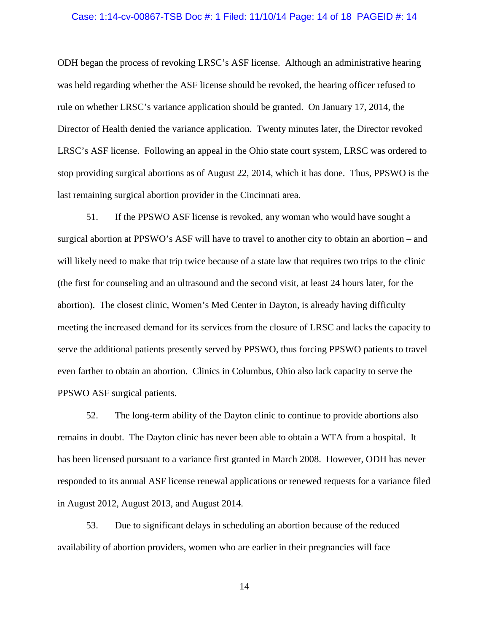#### Case: 1:14-cv-00867-TSB Doc #: 1 Filed: 11/10/14 Page: 14 of 18 PAGEID #: 14

ODH began the process of revoking LRSC's ASF license. Although an administrative hearing was held regarding whether the ASF license should be revoked, the hearing officer refused to rule on whether LRSC's variance application should be granted. On January 17, 2014, the Director of Health denied the variance application. Twenty minutes later, the Director revoked LRSC's ASF license. Following an appeal in the Ohio state court system, LRSC was ordered to stop providing surgical abortions as of August 22, 2014, which it has done. Thus, PPSWO is the last remaining surgical abortion provider in the Cincinnati area.

51. If the PPSWO ASF license is revoked, any woman who would have sought a surgical abortion at PPSWO's ASF will have to travel to another city to obtain an abortion – and will likely need to make that trip twice because of a state law that requires two trips to the clinic (the first for counseling and an ultrasound and the second visit, at least 24 hours later, for the abortion). The closest clinic, Women's Med Center in Dayton, is already having difficulty meeting the increased demand for its services from the closure of LRSC and lacks the capacity to serve the additional patients presently served by PPSWO, thus forcing PPSWO patients to travel even farther to obtain an abortion. Clinics in Columbus, Ohio also lack capacity to serve the PPSWO ASF surgical patients.

52. The long-term ability of the Dayton clinic to continue to provide abortions also remains in doubt. The Dayton clinic has never been able to obtain a WTA from a hospital. It has been licensed pursuant to a variance first granted in March 2008. However, ODH has never responded to its annual ASF license renewal applications or renewed requests for a variance filed in August 2012, August 2013, and August 2014.

53. Due to significant delays in scheduling an abortion because of the reduced availability of abortion providers, women who are earlier in their pregnancies will face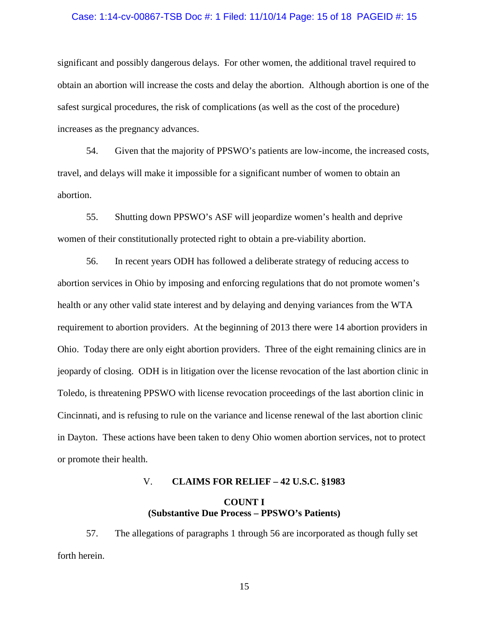#### Case: 1:14-cv-00867-TSB Doc #: 1 Filed: 11/10/14 Page: 15 of 18 PAGEID #: 15

significant and possibly dangerous delays. For other women, the additional travel required to obtain an abortion will increase the costs and delay the abortion. Although abortion is one of the safest surgical procedures, the risk of complications (as well as the cost of the procedure) increases as the pregnancy advances.

54. Given that the majority of PPSWO's patients are low-income, the increased costs, travel, and delays will make it impossible for a significant number of women to obtain an abortion.

55. Shutting down PPSWO's ASF will jeopardize women's health and deprive women of their constitutionally protected right to obtain a pre-viability abortion.

56. In recent years ODH has followed a deliberate strategy of reducing access to abortion services in Ohio by imposing and enforcing regulations that do not promote women's health or any other valid state interest and by delaying and denying variances from the WTA requirement to abortion providers. At the beginning of 2013 there were 14 abortion providers in Ohio. Today there are only eight abortion providers. Three of the eight remaining clinics are in jeopardy of closing. ODH is in litigation over the license revocation of the last abortion clinic in Toledo, is threatening PPSWO with license revocation proceedings of the last abortion clinic in Cincinnati, and is refusing to rule on the variance and license renewal of the last abortion clinic in Dayton. These actions have been taken to deny Ohio women abortion services, not to protect or promote their health.

## V. **CLAIMS FOR RELIEF – 42 U.S.C. §1983**

# **COUNT I (Substantive Due Process – PPSWO's Patients)**

57. The allegations of paragraphs 1 through 56 are incorporated as though fully set forth herein.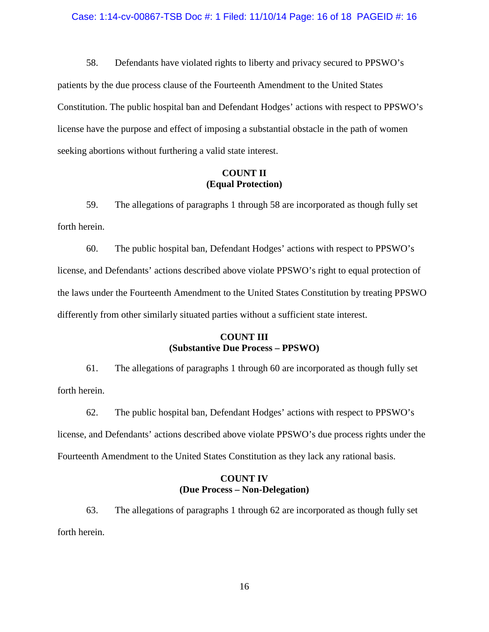#### Case: 1:14-cv-00867-TSB Doc #: 1 Filed: 11/10/14 Page: 16 of 18 PAGEID #: 16

58. Defendants have violated rights to liberty and privacy secured to PPSWO's patients by the due process clause of the Fourteenth Amendment to the United States Constitution. The public hospital ban and Defendant Hodges' actions with respect to PPSWO's license have the purpose and effect of imposing a substantial obstacle in the path of women seeking abortions without furthering a valid state interest.

## **COUNT II (Equal Protection)**

59. The allegations of paragraphs 1 through 58 are incorporated as though fully set forth herein.

60. The public hospital ban, Defendant Hodges' actions with respect to PPSWO's license, and Defendants' actions described above violate PPSWO's right to equal protection of the laws under the Fourteenth Amendment to the United States Constitution by treating PPSWO differently from other similarly situated parties without a sufficient state interest.

# **COUNT III (Substantive Due Process – PPSWO)**

61. The allegations of paragraphs 1 through 60 are incorporated as though fully set forth herein.

62. The public hospital ban, Defendant Hodges' actions with respect to PPSWO's license, and Defendants' actions described above violate PPSWO's due process rights under the Fourteenth Amendment to the United States Constitution as they lack any rational basis.

# **COUNT IV (Due Process – Non-Delegation)**

63. The allegations of paragraphs 1 through 62 are incorporated as though fully set forth herein.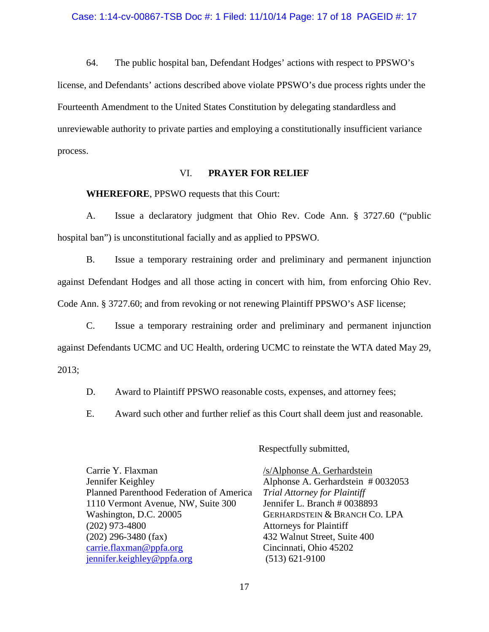64. The public hospital ban, Defendant Hodges' actions with respect to PPSWO's license, and Defendants' actions described above violate PPSWO's due process rights under the Fourteenth Amendment to the United States Constitution by delegating standardless and unreviewable authority to private parties and employing a constitutionally insufficient variance process.

## VI. **PRAYER FOR RELIEF**

**WHEREFORE**, PPSWO requests that this Court:

A. Issue a declaratory judgment that Ohio Rev. Code Ann. § 3727.60 ("public hospital ban") is unconstitutional facially and as applied to PPSWO.

B. Issue a temporary restraining order and preliminary and permanent injunction against Defendant Hodges and all those acting in concert with him, from enforcing Ohio Rev. Code Ann. § 3727.60; and from revoking or not renewing Plaintiff PPSWO's ASF license;

C. Issue a temporary restraining order and preliminary and permanent injunction against Defendants UCMC and UC Health, ordering UCMC to reinstate the WTA dated May 29, 2013;

D. Award to Plaintiff PPSWO reasonable costs, expenses, and attorney fees;

E. Award such other and further relief as this Court shall deem just and reasonable.

Respectfully submitted,

| /s/Alphonse A. Gerhardstein              |
|------------------------------------------|
| Alphonse A. Gerhardstein #0032053        |
| <b>Trial Attorney for Plaintiff</b>      |
| Jennifer L. Branch # 0038893             |
| <b>GERHARDSTEIN &amp; BRANCH CO. LPA</b> |
| <b>Attorneys for Plaintiff</b>           |
| 432 Walnut Street, Suite 400             |
| Cincinnati, Ohio 45202                   |
| $(513) 621-9100$                         |
|                                          |